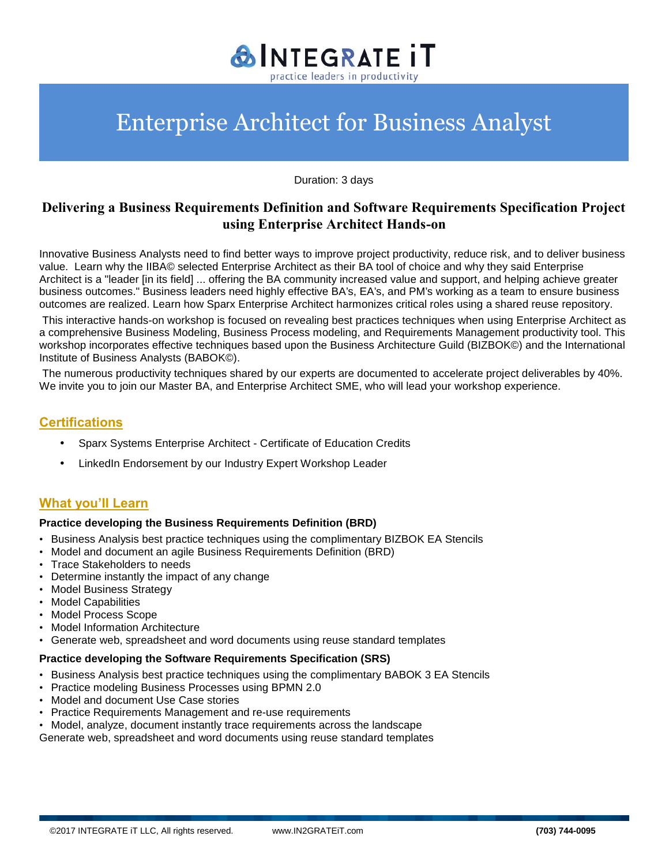

Duration: 3 days

## **Delivering a Business Requirements Definition and Software Requirements Specification Project using Enterprise Architect Hands-on**

Innovative Business Analysts need to find better ways to improve project productivity, reduce risk, and to deliver business value. Learn why the IIBA© selected Enterprise Architect as their BA tool of choice and why they said Enterprise Architect is a "leader [in its field] ... offering the BA community increased value and support, and helping achieve greater business outcomes." Business leaders need highly effective BA's, EA's, and PM's working as a team to ensure business outcomes are realized. Learn how Sparx Enterprise Architect harmonizes critical roles using a shared reuse repository.

This interactive hands-on workshop is focused on revealing best practices techniques when using Enterprise Architect as a comprehensive Business Modeling, Business Process modeling, and Requirements Management productivity tool. This workshop incorporates effective techniques based upon the Business Architecture Guild (BIZBOK©) and the International Institute of Business Analysts (BABOK©).

The numerous productivity techniques shared by our experts are documented to accelerate project deliverables by 40%. We invite you to join our Master BA, and Enterprise Architect SME, who will lead your workshop experience.

### **Certifications**

- Sparx Systems Enterprise Architect Certificate of Education Credits
- LinkedIn Endorsement by our Industry Expert Workshop Leader

### **What you'll Learn**

#### **Practice developing the Business Requirements Definition (BRD)**

- Business Analysis best practice techniques using the complimentary BIZBOK EA Stencils
- Model and document an agile Business Requirements Definition (BRD)
- Trace Stakeholders to needs
- Determine instantly the impact of any change
- Model Business Strategy
- Model Capabilities
- Model Process Scope
- Model Information Architecture
- Generate web, spreadsheet and word documents using reuse standard templates

#### **Practice developing the Software Requirements Specification (SRS)**

- Business Analysis best practice techniques using the complimentary BABOK 3 EA Stencils
- Practice modeling Business Processes using BPMN 2.0
- Model and document Use Case stories
- Practice Requirements Management and re-use requirements
- Model, analyze, document instantly trace requirements across the landscape

Generate web, spreadsheet and word documents using reuse standard templates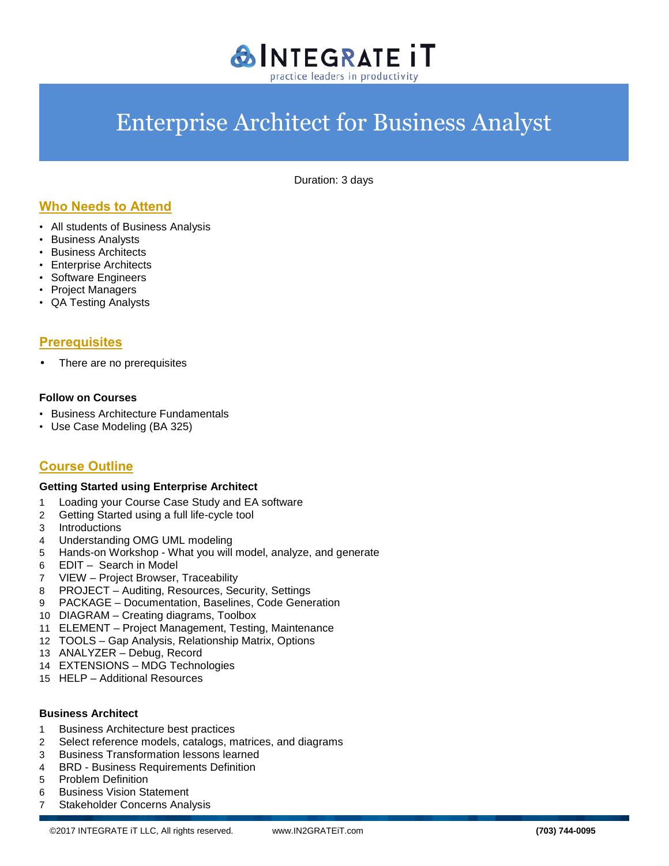

Duration: 3 days

## **Who Needs to Attend**

- All students of Business Analysis
- Business Analysts
- Business Architects
- Enterprise Architects
- Software Engineers
- Project Managers
- QA Testing Analysts

### **Prerequisites**

There are no prerequisites

#### **Follow on Courses**

- Business Architecture Fundamentals
- Use Case Modeling (BA 325)

## **Course Outline**

#### **Getting Started using Enterprise Architect**

- 1 Loading your Course Case Study and EA software
- 2 Getting Started using a full life-cycle tool
- 3 Introductions
- 4 Understanding OMG UML modeling
- 5 Hands-on Workshop What you will model, analyze, and generate
- 6 EDIT Search in Model
- 7 VIEW Project Browser, Traceability
- 8 PROJECT Auditing, Resources, Security, Settings
- 9 PACKAGE –Documentation, Baselines, Code Generation
- 10 DIAGRAM Creating diagrams, Toolbox
- 11 ELEMENT Project Management, Testing, Maintenance
- 12 TOOLS Gap Analysis, Relationship Matrix, Options
- 13 ANALYZER Debug, Record
- 14 EXTENSIONS MDG Technologies
- 15 HELP –Additional Resources

#### **Business Architect**

- 1 Business Architecture best practices
- 2 Select reference models, catalogs, matrices, and diagrams
- 3 Business Transformation lessons learned
- 4 BRD Business Requirements Definition
- 5 Problem Definition
- 6 Business Vision Statement
- 7 Stakeholder Concerns Analysis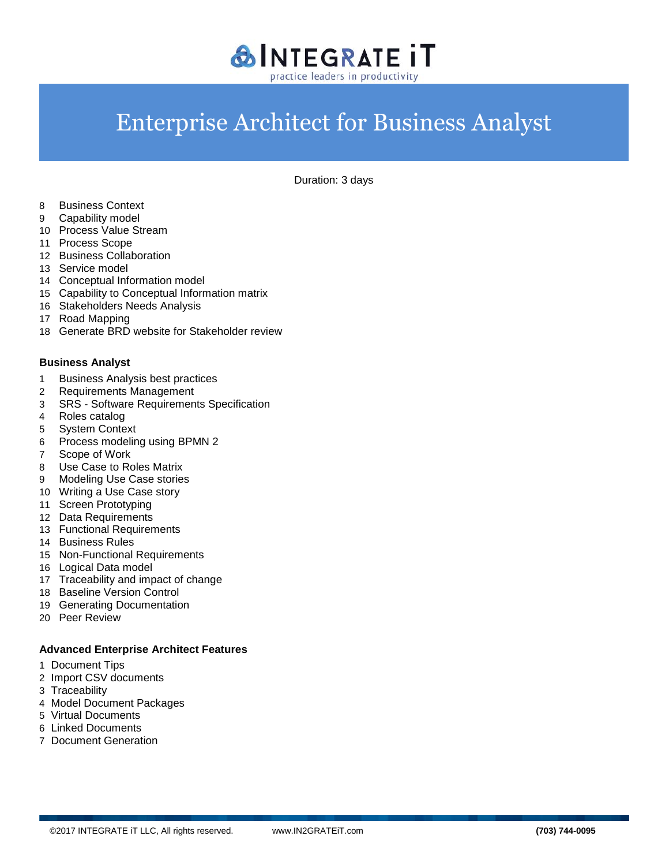

Duration: 3 days

- Business Context
- Capability model
- Process Value Stream
- Process Scope
- Business Collaboration
- Service model
- Conceptual Information model
- Capability to Conceptual Information matrix
- Stakeholders Needs Analysis
- Road Mapping
- Generate BRD website for Stakeholder review

#### **Business Analyst**

- Business Analysis best practices
- Requirements Management
- SRS Software Requirements Specification
- Roles catalog
- System Context
- Process modeling using BPMN 2
- Scope of Work
- Use Case to Roles Matrix
- Modeling Use Case stories
- Writing a Use Case story
- Screen Prototyping
- Data Requirements
- Functional Requirements
- Business Rules
- Non-Functional Requirements
- Logical Data model
- Traceability and impact of change
- Baseline Version Control
- Generating Documentation
- Peer Review

#### **Advanced Enterprise Architect Features**

- Document Tips
- Import CSV documents
- Traceability
- Model Document Packages
- Virtual Documents
- Linked Documents
- Document Generation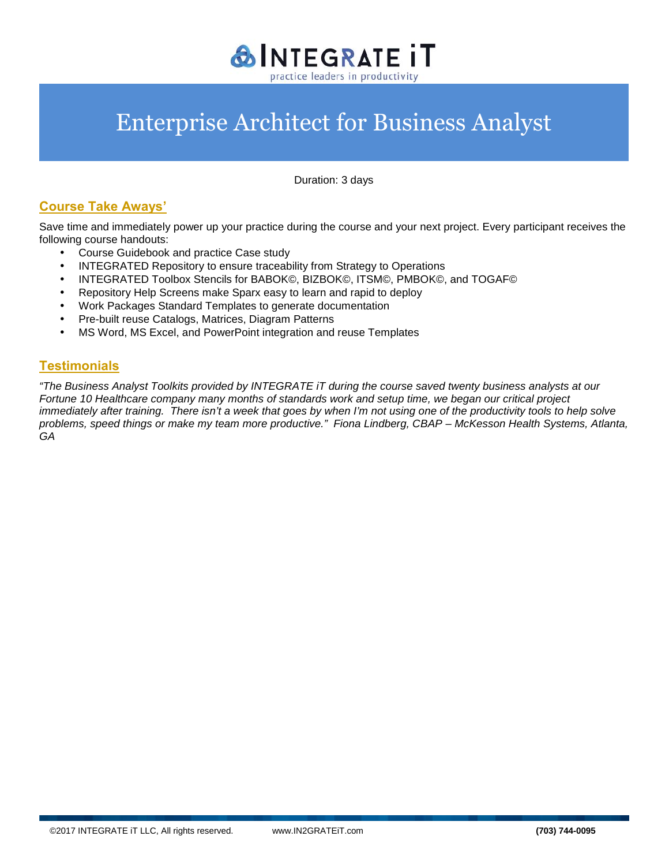

Duration: 3 days

# **Course Take Aways'**

Save time and immediately power up your practice during the course and your next project. Every participant receives the following course handouts:

- Course Guidebook and practice Case study
- INTEGRATED Repository to ensure traceability from Strategy to Operations
- INTEGRATED Toolbox Stencils for BABOK©, BIZBOK©, ITSM©, PMBOK©, and TOGAF©
- Repository Help Screens make Sparx easy to learn and rapid to deploy
- Work Packages Standard Templates to generate documentation
- Pre-built reuse Catalogs, Matrices, Diagram Patterns
- MS Word, MS Excel, and PowerPoint integration and reuse Templates

### **Testimonials**

*"The Business Analyst Toolkits provided by INTEGRATE iT during the course saved twenty business analysts at our Fortune 10 Healthcare company many months of standards work and setup time, we began our critical project immediately after training. There isn't a week that goes by when I'm not using one of the productivity tools to help solve problems, speed things or make my team more productive." Fiona Lindberg, CBAP –McKesson Health Systems, Atlanta, GA*